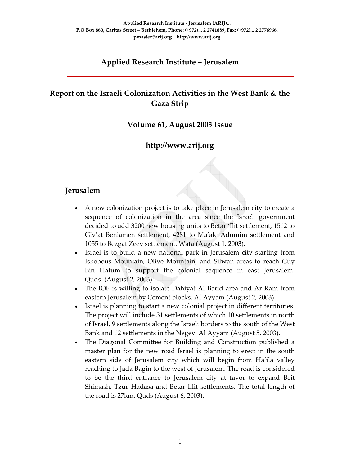### **Applied Research Institute – Jerusalem**

### **Report on the Israeli Colonization Activities in the West Bank & the Gaza Strip**

#### **Volume 61, August 2003 Issue**

### **http://www.arij.org**

#### **Jerusalem**

- A new colonization project is to take place in Jerusalem city to create a sequence of colonization in the area since the Israeli government decided to add 3200 new housing units to Betar 'Ilit settlement, 1512 to Giv'at Beniamen settlement, 4281 to Ma'ale Adumim settlement and 1055 to Bezgat Zeev settlement. Wafa (August 1, 2003).
- Israel is to build a new national park in Jerusalem city starting from Iskobous Mountain, Olive Mountain, and Silwan areas to reach Guy Bin Hatum to support the colonial sequence in east Jerusalem. Quds (August 2, 2003).
- The IOF is willing to isolate Dahiyat Al Barid area and Ar Ram from eastern Jerusalem by Cement blocks. Al Ayyam (August 2, 2003).
- Israel is planning to start a new colonial project in different territories. The project will include 31 settlements of which 10 settlements in north of Israel, 9 settlements along the Israeli borders to the south of the West Bank and 12 settlements in the Negev. Al Ayyam (August 5, 2003).
- The Diagonal Committee for Building and Construction published a master plan for the new road Israel is planning to erect in the south eastern side of Jerusalem city which will begin from Ha'ila valley reaching to Jada Bagin to the west of Jerusalem. The road is considered to be the third entrance to Jerusalem city at favor to expand Beit Shimash, Tzur Hadasa and Betar Illit settlements. The total length of the road is 27km. Quds (August 6, 2003).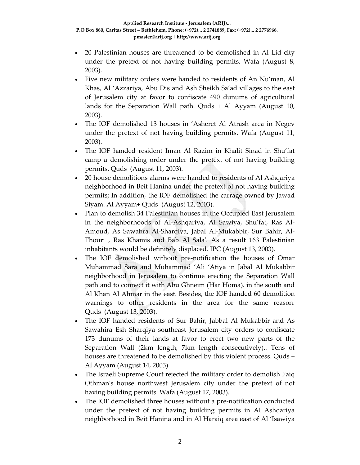- 20 Palestinian houses are threatened to be demolished in Al Lid city under the pretext of not having building permits. Wafa (August 8, 2003).
- Five new military orders were handed to residents of An Nu'man, Al Khas, Al 'Azzariya, Abu Dis and Ash Sheikh Sa'ad villages to the east of Jerusalem city at favor to confiscate 490 dunums of agricultural lands for the Separation Wall path. Quds + Al Ayyam (August 10, 2003).
- The IOF demolished 13 houses in 'Asheret Al Atrash area in Negev under the pretext of not having building permits. Wafa (August 11, 2003).
- The IOF handed resident Iman Al Razim in Khalit Sinad in Shu'fat camp a demolishing order under the pretext of not having building permits. Quds (August 11, 2003).
- 20 house demolitions alarms were handed to residents of Al Ashqariya neighborhood in Beit Hanina under the pretext of not having building permits; In addition, the IOF demolished the carrage owned by Jawad Siyam. Al Ayyam+ Quds (August 12, 2003).
- Plan to demolish 34 Palestinian houses in the Occupied East Jerusalem in the neighborhoods of Al‐Ashqariya, Al Sawiya, Shu'fat, Ras Al‐ Amoud, As Sawahra Al‐Sharqiya, Jabal Al‐Mukabbir, Sur Bahir, Al‐ Thouri , Ras Khamis and Bab Al Salaʹ. As a result 163 Palestinian inhabitants would be definitely displaced. IPC (August 13, 2003).
- The IOF demolished without pre-notification the houses of Omar Muhammad Sara and Muhammad 'Ali 'Atiya in Jabal Al Mukabbir neighborhood in Jerusalem to continue erecting the Separation Wall path and to connect it with Abu Ghneim (Har Homa). in the south and Al Khan Al Ahmar in the east. Besides, the IOF handed 60 demolition warnings to other residents in the area for the same reason. Quds (August 13, 2003).
- The IOF handed residents of Sur Bahir, Jabbal Al Mukabbir and As Sawahira Esh Sharqiya southeast Jerusalem city orders to confiscate 173 dunums of their lands at favor to erect two new parts of the Separation Wall (2km length, 7km length consecutively).. Tens of houses are threatened to be demolished by this violent process. Quds + Al Ayyam (August 14, 2003).
- The Israeli Supreme Court rejected the military order to demolish Faiq Othmanʹs house northwest Jerusalem city under the pretext of not having building permits. Wafa (August 17, 2003).
- The IOF demolished three houses without a pre-notification conducted under the pretext of not having building permits in Al Ashqariya neighborhood in Beit Hanina and in Al Haraiq area east of Al 'Isawiya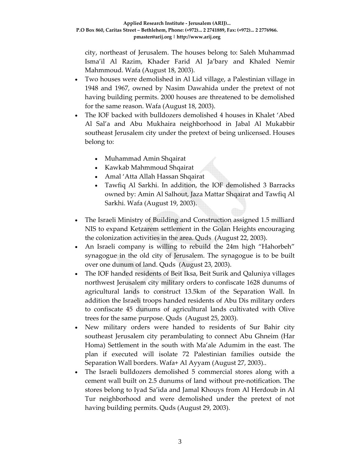city, northeast of Jerusalem. The houses belong to: Saleh Muhammad Isma'il Al Razim, Khader Farid Al Ja'bary and Khaled Nemir Mahmmoud. Wafa (August 18, 2003).

- Two houses were demolished in Al Lid village, a Palestinian village in 1948 and 1967, owned by Nasim Dawahida under the pretext of not having building permits. 2000 houses are threatened to be demolished for the same reason. Wafa (August 18, 2003).
- The IOF backed with bulldozers demolished 4 houses in Khalet 'Abed Al Sal'a and Abu Mukhaira neighborhood in Jabal Al Mukabbir southeast Jerusalem city under the pretext of being unlicensed. Houses belong to:
	- Muhammad Amin Shqairat
	- Kawkab Mahmmoud Shqairat
	- Amal 'Atta Allah Hassan Shqairat
	- Tawfiq Al Sarkhi. In addition, the IOF demolished 3 Barracks owned by: Amin Al Salhout, Jaza Mattar Shqairat and Tawfiq Al Sarkhi. Wafa (August 19, 2003).
- The Israeli Ministry of Building and Construction assigned 1.5 milliard NIS to expand Ketzarem settlement in the Golan Heights encouraging the colonization activities in the area. Quds (August 22, 2003).
- An Israeli company is willing to rebuild the 24m high "Hahorbeh" synagogue in the old city of Jerusalem. The synagogue is to be built over one dunum of land. Quds (August 23, 2003).
- The IOF handed residents of Beit Iksa, Beit Surik and Qaluniya villages northwest Jerusalem city military orders to confiscate 1628 dunums of agricultural lands to construct 13.5km of the Separation Wall. In addition the Israeli troops handed residents of Abu Dis military orders to confiscate 45 dunums of agricultural lands cultivated with Olive trees for the same purpose. Quds (August 25, 2003).
- New military orders were handed to residents of Sur Bahir city southeast Jerusalem city perambulating to connect Abu Ghneim (Har Homa) Settlement in the south with Ma'ale Adumim in the east. The plan if executed will isolate 72 Palestinian families outside the Separation Wall borders. Wafa+ Al Ayyam (August 27, 2003)..
- The Israeli bulldozers demolished 5 commercial stores along with a cement wall built on 2.5 dunums of land without pre‐notification. The stores belong to Iyad Sa'ida and Jamal Khouys from Al Herdoub in Al Tur neighborhood and were demolished under the pretext of not having building permits. Quds (August 29, 2003).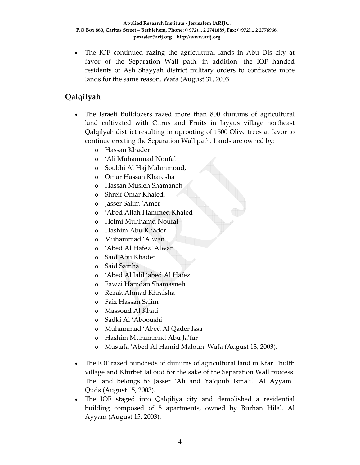• The IOF continued razing the agricultural lands in Abu Dis city at favor of the Separation Wall path; in addition, the IOF handed residents of Ash Shayyah district military orders to confiscate more lands for the same reason. Wafa (August 31, 2003

# **Qalqilyah**

- The Israeli Bulldozers razed more than 800 dunums of agricultural land cultivated with Citrus and Fruits in Jayyus village northeast Qalqilyah district resulting in uprooting of 1500 Olive trees at favor to continue erecting the Separation Wall path. Lands are owned by:
	- o Hassan Khader
	- o 'Ali Muhammad Noufal
	- o Soubhi Al Haj Mahmmoud,
	- o Omar Hassan Kharesha
	- o Hassan Musleh Shamaneh
	- o Shreif Omar Khaled,
	- o Jasser Salim 'Amer
	- o 'Abed Allah Hammed Khaled
	- o Helmi Muhhamd Noufal
	- o Hashim Abu Khader
	- o Muhammad 'Alwan
	- o 'Abed Al Hafez 'Alwan
	- o Said Abu Khader
	- o Said Samha
	- o 'Abed Al Jalil 'abed Al Hafez
	- o Fawzi Hamdan Shamasneh
	- o Rezak Ahmad Khraisha
	- o Faiz Hassan Salim
	- o Massoud Al Khati
	- o Sadki Al 'Abooushi
	- o Muhammad 'Abed Al Qader Issa
	- o Hashim Muhammad Abu Ja'far
	- o Mustafa 'Abed Al Hamid Malouh. Wafa (August 13, 2003).
- The IOF razed hundreds of dunums of agricultural land in Kfar Thulth village and Khirbet Jal'oud for the sake of the Separation Wall process. The land belongs to Jasser 'Ali and Ya'qoub Isma'il. Al Ayyam+ Quds (August 15, 2003).
- The IOF staged into Qalqiliya city and demolished a residential building composed of 5 apartments, owned by Burhan Hilal. Al Ayyam (August 15, 2003).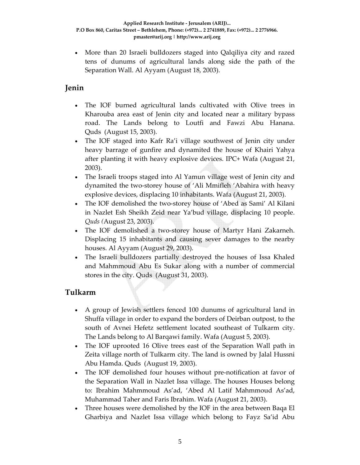• More than 20 Israeli bulldozers staged into Qalqiliya city and razed tens of dunums of agricultural lands along side the path of the Separation Wall. Al Ayyam (August 18, 2003).

### **Jenin**

- The IOF burned agricultural lands cultivated with Olive trees in Kharouba area east of Jenin city and located near a military bypass road. The Lands belong to Loutfi and Fawzi Abu Hanana. Quds (August 15, 2003).
- The IOF staged into Kafr Ra'i village southwest of Jenin city under heavy barrage of gunfire and dynamited the house of Khairi Yahya after planting it with heavy explosive devices. IPC+ Wafa (August 21, 2003).
- The Israeli troops staged into Al Yamun village west of Jenin city and dynamited the two‐storey house of 'Ali Mmifleh 'Abahira with heavy explosive devices, displacing 10 inhabitants. Wafa (August 21, 2003).
- The IOF demolished the two-storey house of 'Abed as Sami' Al Kilani in Nazlet Esh Sheikh Zeid near Ya'bud village, displacing 10 people. *Quds (*August 23, 2003).
- The IOF demolished a two-storey house of Martyr Hani Zakarneh. Displacing 15 inhabitants and causing sever damages to the nearby houses. Al Ayyam (August 29, 2003).
- The Israeli bulldozers partially destroyed the houses of Issa Khaled and Mahmmoud Abu Es Sukar along with a number of commercial stores in the city. Quds (August 31, 2003).

### **Tulkarm**

- A group of Jewish settlers fenced 100 dunums of agricultural land in Shuffa village in order to expand the borders of Deirban outpost, to the south of Avnei Hefetz settlement located southeast of Tulkarm city. The Lands belong to Al Barqawi family. Wafa (August 5, 2003).
- The IOF uprooted 16 Olive trees east of the Separation Wall path in Zeita village north of Tulkarm city. The land is owned by Jalal Hussni Abu Hamda. Quds (August 19, 2003).
- The IOF demolished four houses without pre-notification at favor of the Separation Wall in Nazlet Issa village. The houses Houses belong to: Ibrahim Mahmmoud As'ad, 'Abed Al Latif Mahmmoud As'ad, Muhammad Taher and Faris Ibrahim. Wafa (August 21, 2003).
- Three houses were demolished by the IOF in the area between Baqa El Gharbiya and Nazlet Issa village which belong to Fayz Sa'id Abu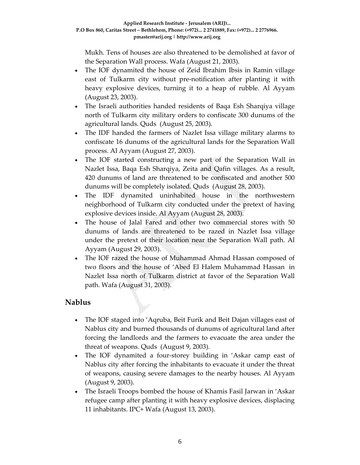Mukh. Tens of houses are also threatened to be demolished at favor of the Separation Wall process. Wafa (August 21, 2003).

- The IOF dynamited the house of Zeid Ibrahim Ibsis in Ramin village east of Tulkarm city without pre‐notification after planting it with heavy explosive devices, turning it to a heap of rubble. Al Ayyam (August 23, 2003).
- The Israeli authorities handed residents of Baqa Esh Sharqiya village north of Tulkarm city military orders to confiscate 300 dunums of the agricultural lands. Quds (August 25, 2003).
- The IDF handed the farmers of Nazlet Issa village military alarms to confiscate 16 dunums of the agricultural lands for the Separation Wall process. Al Ayyam (August 27, 2003).
- The IOF started constructing a new part of the Separation Wall in Nazlet Issa, Baqa Esh Sharqiya, Zeita and Qafin villages. As a result, 420 dunums of land are threatened to be confiscated and another 500 dunums will be completely isolated. Quds (August 28, 2003).
- The IDF dynamited uninhabited house in the northwestern neighborhood of Tulkarm city conducted under the pretext of having explosive devices inside. Al Ayyam (August 28, 2003).
- The house of Jalal Fared and other two commercial stores with 50 dunums of lands are threatened to be razed in Nazlet Issa village under the pretext of their location near the Separation Wall path. Al Ayyam (August 29, 2003).
- The IOF razed the house of Muhammad Ahmad Hassan composed of two floors and the house of 'Abed El Halem Muhammad Hassan in Nazlet Issa north of Tulkarm district at favor of the Separation Wall path. Wafa (August 31, 2003).

#### **Nablus**

- The IOF staged into 'Aqruba, Beit Furik and Beit Dajan villages east of Nablus city and burned thousands of dunums of agricultural land after forcing the landlords and the farmers to evacuate the area under the threat of weapons. Quds (August 9, 2003).
- The IOF dynamited a four-storey building in 'Askar camp east of Nablus city after forcing the inhabitants to evacuate it under the threat of weapons, causing severe damages to the nearby houses. Al Ayyam (August 9, 2003).
- The Israeli Troops bombed the house of Khamis Fasil Jarwan in 'Askar refugee camp after planting it with heavy explosive devices, displacing 11 inhabitants. IPC+ Wafa (August 13, 2003).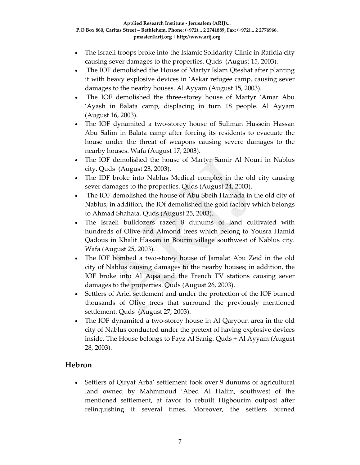- The Israeli troops broke into the Islamic Solidarity Clinic in Rafidia city causing sever damages to the properties. Quds (August 15, 2003).
- The IOF demolished the House of Martyr Islam Qteshat after planting it with heavy explosive devices in 'Askar refugee camp, causing sever damages to the nearby houses. Al Ayyam (August 15, 2003).
- The IOF demolished the three-storey house of Martyr 'Amar Abu 'Ayash in Balata camp, displacing in turn 18 people. Al Ayyam (August 16, 2003).
- The IOF dynamited a two-storey house of Suliman Hussein Hassan Abu Salim in Balata camp after forcing its residents to evacuate the house under the threat of weapons causing severe damages to the nearby houses. Wafa (August 17, 2003).
- The IOF demolished the house of Martyr Samir Al Nouri in Nablus city. Quds (August 23, 2003).
- The IDF broke into Nablus Medical complex in the old city causing sever damages to the properties. Quds (August 24, 2003).
- The IOF demolished the house of Abu Sbeih Hamada in the old city of Nablus; in addition, the IOf demolished the gold factory which belongs to Ahmad Shahata. Quds (August 25, 2003).
- The Israeli bulldozers razed 8 dunums of land cultivated with hundreds of Olive and Almond trees which belong to Yousra Hamid Qadous in Khalit Hassan in Bourin village southwest of Nablus city. Wafa (August 25, 2003).
- The IOF bombed a two‐storey house of Jamalat Abu Zeid in the old city of Nablus causing damages to the nearby houses; in addition, the IOF broke into Al Aqsa and the French TV stations causing sever damages to the properties. Quds (August 26, 2003).
- Settlers of Ariel settlement and under the protection of the IOF burned thousands of Olive trees that surround the previously mentioned settlement. Quds (August 27, 2003).
- The IOF dynamited a two-storey house in Al Qaryoun area in the old city of Nablus conducted under the pretext of having explosive devices inside. The House belongs to Fayz Al Sanig. Quds + Al Ayyam (August 28, 2003).

## **Hebron**

• Settlers of Qiryat Arba' settlement took over 9 dunums of agricultural land owned by Mahmmoud 'Abed Al Halim, southwest of the mentioned settlement, at favor to rebuilt Higbourim outpost after relinquishing it several times. Moreover, the settlers burned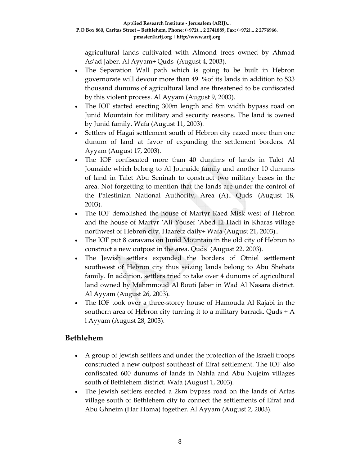agricultural lands cultivated with Almond trees owned by Ahmad As'ad Jaber. Al Ayyam+ Quds (August 4, 2003).

- The Separation Wall path which is going to be built in Hebron governorate will devour more than 49 %of its lands in addition to 533 thousand dunums of agricultural land are threatened to be confiscated by this violent process. Al Ayyam (August 9, 2003).
- The IOF started erecting 300m length and 8m width bypass road on Junid Mountain for military and security reasons. The land is owned by Junid family. Wafa (August 11, 2003).
- Settlers of Hagai settlement south of Hebron city razed more than one dunum of land at favor of expanding the settlement borders. Al Ayyam (August 17, 2003).
- The IOF confiscated more than 40 dunums of lands in Talet Al Jounaide which belong to Al Jounaide family and another 10 dunums of land in Talet Abu Seninah to construct two military bases in the area. Not forgetting to mention that the lands are under the control of the Palestinian National Authority, Area (A).. Quds (August 18, 2003).
- The IOF demolished the house of Martyr Raed Misk west of Hebron and the house of Martyr 'Ali Yousef 'Abed El Hadi in Kharas village northwest of Hebron city. Haaretz daily+ Wafa (August 21, 2003)..
- The IOF put 8 caravans on Junid Mountain in the old city of Hebron to construct a new outpost in the area. Quds (August 22, 2003).
- The Jewish settlers expanded the borders of Otniel settlement southwest of Hebron city thus seizing lands belong to Abu Shehata family. In addition, settlers tried to take over 4 dunums of agricultural land owned by Mahmmoud Al Bouti Jaber in Wad Al Nasara district. Al Ayyam (August 26, 2003).
- The IOF took over a three‐storey house of Hamouda Al Rajabi in the southern area of Hebron city turning it to a military barrack. Quds + A l Ayyam (August 28, 2003).

### **Bethlehem**

- A group of Jewish settlers and under the protection of the Israeli troops constructed a new outpost southeast of Efrat settlement. The IOF also confiscated 600 dunums of lands in Nahla and Abu Nujeim villages south of Bethlehem district. Wafa (August 1, 2003).
- The Jewish settlers erected a 2km bypass road on the lands of Artas village south of Bethlehem city to connect the settlements of Efrat and Abu Ghneim (Har Homa) together. Al Ayyam (August 2, 2003).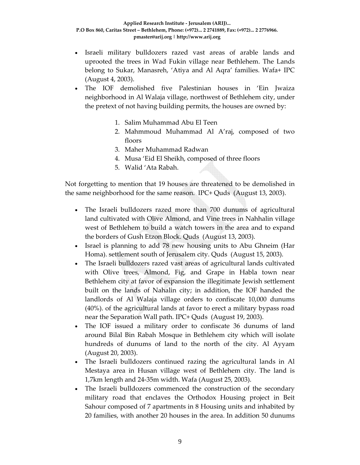- Israeli military bulldozers razed vast areas of arable lands and uprooted the trees in Wad Fukin village near Bethlehem. The Lands belong to Sukar, Manasreh, 'Atiya and Al Aqra' families. Wafa+ IPC (August 4, 2003).
- The IOF demolished five Palestinian houses in 'Ein Jwaiza neighborhood in Al Walaja village, northwest of Bethlehem city, under the pretext of not having building permits, the houses are owned by:
	- 1. Salim Muhammad Abu El Teen
	- 2. Mahmmoud Muhammad Al A'raj, composed of two floors
	- 3. Maher Muhammad Radwan
	- 4. Musa 'Eid El Sheikh, composed of three floors
	- 5. Walid 'Ata Rabah.

Not forgetting to mention that 19 houses are threatened to be demolished in the same neighborhood for the same reason. IPC+ Quds (August 13, 2003).

- The Israeli bulldozers razed more than 700 dunums of agricultural land cultivated with Olive Almond, and Vine trees in Nahhalin village west of Bethlehem to build a watch towers in the area and to expand the borders of Gush Etzon Block. Quds (August 13, 2003).
- Israel is planning to add 78 new housing units to Abu Ghneim (Har Homa). settlement south of Jerusalem city. Quds (August 15, 2003).
- The Israeli bulldozers razed vast areas of agricultural lands cultivated with Olive trees, Almond, Fig, and Grape in Habla town near Bethlehem city at favor of expansion the illegitimate Jewish settlement built on the lands of Nahalin city; in addition, the IOF handed the landlords of Al Walaja village orders to confiscate 10,000 dunums (40%). of the agricultural lands at favor to erect a military bypass road near the Separation Wall path. IPC+ Quds (August 19, 2003).
- The IOF issued a military order to confiscate 36 dunums of land around Bilal Bin Rabah Mosque in Bethlehem city which will isolate hundreds of dunums of land to the north of the city. Al Ayyam (August 20, 2003).
- The Israeli bulldozers continued razing the agricultural lands in Al Mestaya area in Husan village west of Bethlehem city. The land is 1,7km length and 24‐35m width. Wafa (August 25, 2003).
- The Israeli bulldozers commenced the construction of the secondary military road that enclaves the Orthodox Housing project in Beit Sahour composed of 7 apartments in 8 Housing units and inhabited by 20 families, with another 20 houses in the area. In addition 50 dunums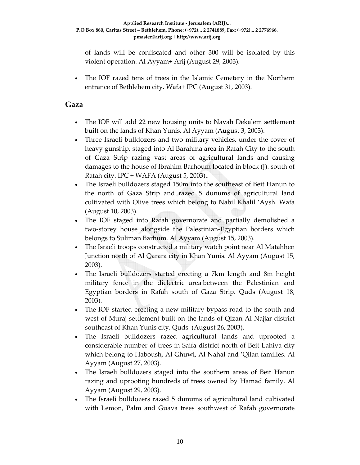of lands will be confiscated and other 300 will be isolated by this violent operation. Al Ayyam+ Arij (August 29, 2003).

• The IOF razed tens of trees in the Islamic Cemetery in the Northern entrance of Bethlehem city. Wafa+ IPC (August 31, 2003).

#### **Gaza**

- The IOF will add 22 new housing units to Navah Dekalem settlement built on the lands of Khan Yunis. Al Ayyam (August 3, 2003).
- Three Israeli bulldozers and two military vehicles, under the cover of heavy gunship, staged into Al Barahma area in Rafah City to the south of Gaza Strip razing vast areas of agricultural lands and causing damages to the house of Ibrahim Barhoum located in block (J). south of Rafah city. IPC + WAFA (August 5, 2003)..
- The Israeli bulldozers staged 150m into the southeast of Beit Hanun to the north of Gaza Strip and razed 5 dunums of agricultural land cultivated with Olive trees which belong to Nabil Khalil 'Aysh. Wafa (August 10, 2003).
- The IOF staged into Rafah governorate and partially demolished a two‐storey house alongside the Palestinian‐Egyptian borders which belongs to Suliman Barhum. Al Ayyam (August 15, 2003).
- The Israeli troops constructed a military watch point near Al Matahhen Junction north of Al Qarara city in Khan Yunis. Al Ayyam (August 15, 2003).
- The Israeli bulldozers started erecting a 7km length and 8m height military fence in the dielectric area between the Palestinian and Egyptian borders in Rafah south of Gaza Strip. Quds (August 18, 2003).
- The IOF started erecting a new military bypass road to the south and west of Muraj settlement built on the lands of Qizan Al Najjar district southeast of Khan Yunis city. Quds (August 26, 2003).
- The Israeli bulldozers razed agricultural lands and uprooted a considerable number of trees in Saifa district north of Beit Lahiya city which belong to Haboush, Al Ghuwl, Al Nahal and 'Qilan families. Al Ayyam (August 27, 2003).
- The Israeli bulldozers staged into the southern areas of Beit Hanun razing and uprooting hundreds of trees owned by Hamad family. Al Ayyam (August 29, 2003).
- The Israeli bulldozers razed 5 dunums of agricultural land cultivated with Lemon, Palm and Guava trees southwest of Rafah governorate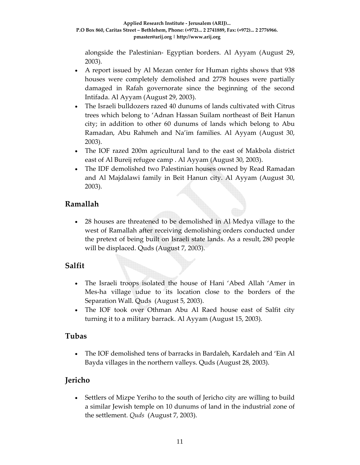alongside the Palestinian‐ Egyptian borders. Al Ayyam (August 29, 2003).

- A report issued by Al Mezan center for Human rights shows that 938 houses were completely demolished and 2778 houses were partially damaged in Rafah governorate since the beginning of the second Intifada. Al Ayyam (August 29, 2003).
- The Israeli bulldozers razed 40 dunums of lands cultivated with Citrus trees which belong to 'Adnan Hassan Suilam northeast of Beit Hanun city; in addition to other 60 dunums of lands which belong to Abu Ramadan, Abu Rahmeh and Na'im families. Al Ayyam (August 30, 2003).
- The IOF razed 200m agricultural land to the east of Makbola district east of Al Bureij refugee camp . Al Ayyam (August 30, 2003).
- The IDF demolished two Palestinian houses owned by Read Ramadan and Al Majdalawi family in Beit Hanun city. Al Ayyam (August 30, 2003).

### **Ramallah**

• 28 houses are threatened to be demolished in Al Medya village to the west of Ramallah after receiving demolishing orders conducted under the pretext of being built on Israeli state lands. As a result, 280 people will be displaced. Quds (August 7, 2003).

#### **Salfit**

- The Israeli troops isolated the house of Hani 'Abed Allah 'Amer in Mes‐ha village udue to its location close to the borders of the Separation Wall. Quds (August 5, 2003).
- The IOF took over Othman Abu Al Raed house east of Salfit city turning it to a military barrack. Al Ayyam (August 15, 2003).

#### **Tubas**

• The IOF demolished tens of barracks in Bardaleh, Kardaleh and 'Ein Al Bayda villages in the northern valleys. Quds (August 28, 2003).

### **Jericho**

• Settlers of Mizpe Yeriho to the south of Jericho city are willing to build a similar Jewish temple on 10 dunums of land in the industrial zone of the settlement. *Quds* (August 7, 2003).